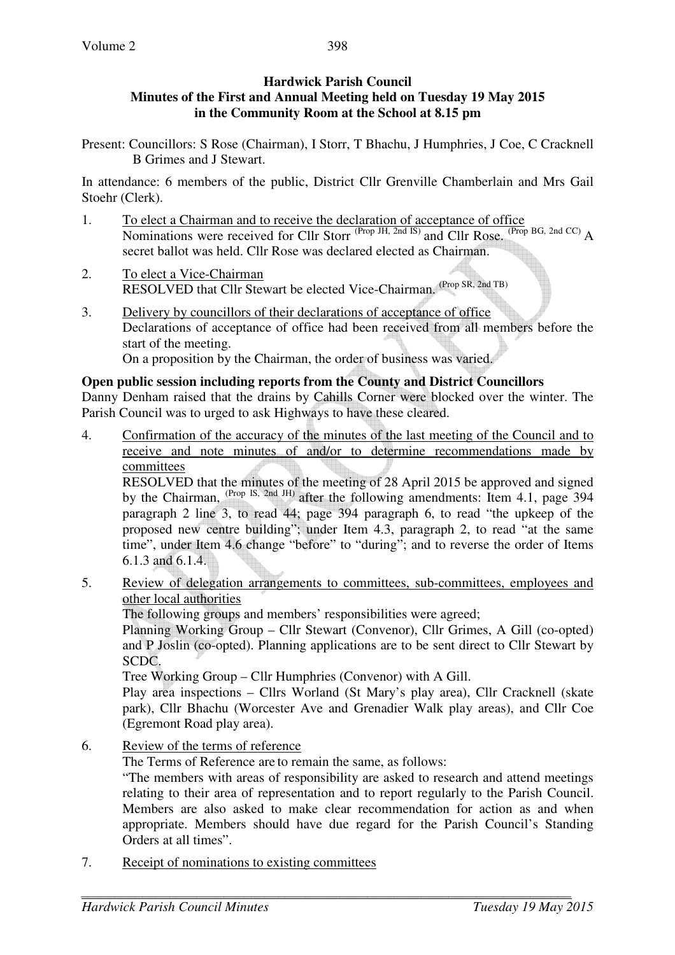## **Hardwick Parish Council Minutes of the First and Annual Meeting held on Tuesday 19 May 2015 in the Community Room at the School at 8.15 pm**

Present: Councillors: S Rose (Chairman), I Storr, T Bhachu, J Humphries, J Coe, C Cracknell B Grimes and J Stewart.

In attendance: 6 members of the public, District Cllr Grenville Chamberlain and Mrs Gail Stoehr (Clerk).

- 1. To elect a Chairman and to receive the declaration of acceptance of office Nominations were received for Cllr Storr  $^{(Prop\ JH,\ 2nd\ IS)}$  and Cllr Rose.  $^{(Prop\ BG,\ 2nd\ CC)}$  A secret ballot was held. Cllr Rose was declared elected as Chairman.
- 2. To elect a Vice-Chairman RESOLVED that Cllr Stewart be elected Vice-Chairman. (Prop SR, 2nd TB)
- 3. Delivery by councillors of their declarations of acceptance of office Declarations of acceptance of office had been received from all members before the start of the meeting. On a proposition by the Chairman, the order of business was varied.

## **Open public session including reports from the County and District Councillors**

Danny Denham raised that the drains by Cahills Corner were blocked over the winter. The Parish Council was to urged to ask Highways to have these cleared.

4. Confirmation of the accuracy of the minutes of the last meeting of the Council and to receive and note minutes of and/or to determine recommendations made by committees

RESOLVED that the minutes of the meeting of 28 April 2015 be approved and signed by the Chairman, (Prop IS, 2nd JH) after the following amendments: Item 4.1, page 394 paragraph 2 line 3, to read 44; page 394 paragraph 6, to read "the upkeep of the proposed new centre building"; under Item 4.3, paragraph 2, to read "at the same time", under Item 4.6 change "before" to "during"; and to reverse the order of Items 6.1.3 and 6.1.4.

5. Review of delegation arrangements to committees, sub-committees, employees and other local authorities

The following groups and members' responsibilities were agreed;

 Planning Working Group – Cllr Stewart (Convenor), Cllr Grimes, A Gill (co-opted) and P Joslin (co-opted). Planning applications are to be sent direct to Cllr Stewart by SCDC.

Tree Working Group – Cllr Humphries (Convenor) with A Gill.

 Play area inspections – Cllrs Worland (St Mary's play area), Cllr Cracknell (skate park), Cllr Bhachu (Worcester Ave and Grenadier Walk play areas), and Cllr Coe (Egremont Road play area).

6. Review of the terms of reference

The Terms of Reference are to remain the same, as follows:

"The members with areas of responsibility are asked to research and attend meetings relating to their area of representation and to report regularly to the Parish Council. Members are also asked to make clear recommendation for action as and when appropriate. Members should have due regard for the Parish Council's Standing Orders at all times".

7. Receipt of nominations to existing committees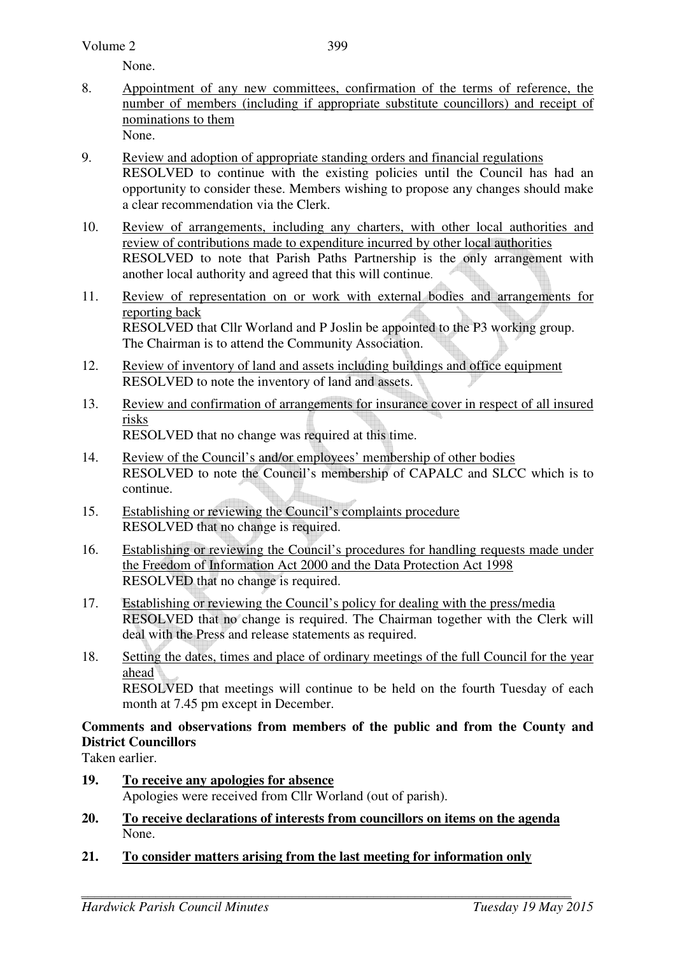Volume 2

None.

- 8. Appointment of any new committees, confirmation of the terms of reference, the number of members (including if appropriate substitute councillors) and receipt of nominations to them None.
- 9. Review and adoption of appropriate standing orders and financial regulations RESOLVED to continue with the existing policies until the Council has had an opportunity to consider these. Members wishing to propose any changes should make a clear recommendation via the Clerk.
- 10. Review of arrangements, including any charters, with other local authorities and review of contributions made to expenditure incurred by other local authorities RESOLVED to note that Parish Paths Partnership is the only arrangement with another local authority and agreed that this will continue.
- 11. Review of representation on or work with external bodies and arrangements for reporting back RESOLVED that Cllr Worland and P Joslin be appointed to the P3 working group. The Chairman is to attend the Community Association.
- 12. Review of inventory of land and assets including buildings and office equipment RESOLVED to note the inventory of land and assets.
- 13. Review and confirmation of arrangements for insurance cover in respect of all insured risks RESOLVED that no change was required at this time.
- 14. Review of the Council's and/or employees' membership of other bodies RESOLVED to note the Council's membership of CAPALC and SLCC which is to continue.
- 15. Establishing or reviewing the Council's complaints procedure RESOLVED that no change is required.
- 16. Establishing or reviewing the Council's procedures for handling requests made under the Freedom of Information Act 2000 and the Data Protection Act 1998 RESOLVED that no change is required.
- 17. Establishing or reviewing the Council's policy for dealing with the press/media RESOLVED that no change is required. The Chairman together with the Clerk will deal with the Press and release statements as required.
- 18. Setting the dates, times and place of ordinary meetings of the full Council for the year ahead RESOLVED that meetings will continue to be held on the fourth Tuesday of each month at 7.45 pm except in December.

## **Comments and observations from members of the public and from the County and District Councillors**

Taken earlier.

- **19. To receive any apologies for absence** Apologies were received from Cllr Worland (out of parish).
- **20. To receive declarations of interests from councillors on items on the agenda** None.
- **21. To consider matters arising from the last meeting for information only**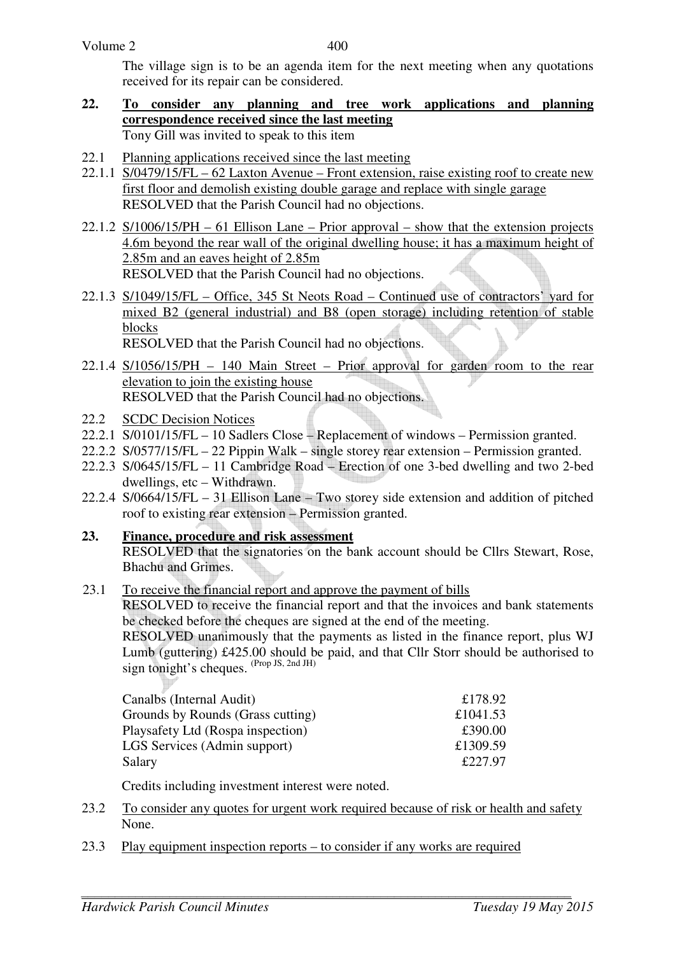| Volume 2 |   |  |  | 400 |        |  |  |  |  |
|----------|---|--|--|-----|--------|--|--|--|--|
| ___      | . |  |  |     | $\sim$ |  |  |  |  |

The village sign is to be an agenda item for the next meeting when any quotations received for its repair can be considered.

- **22. To consider any planning and tree work applications and planning correspondence received since the last meeting** Tony Gill was invited to speak to this item
- 22.1 Planning applications received since the last meeting
- 22.1.1 S/0479/15/FL 62 Laxton Avenue Front extension, raise existing roof to create new first floor and demolish existing double garage and replace with single garage RESOLVED that the Parish Council had no objections.
- 22.1.2 S/1006/15/PH 61 Ellison Lane Prior approval show that the extension projects 4.6m beyond the rear wall of the original dwelling house; it has a maximum height of 2.85m and an eaves height of 2.85m RESOLVED that the Parish Council had no objections.
- 22.1.3 S/1049/15/FL Office, 345 St Neots Road Continued use of contractors' yard for mixed B2 (general industrial) and B8 (open storage) including retention of stable blocks

RESOLVED that the Parish Council had no objections.

- 22.1.4 S/1056/15/PH 140 Main Street Prior approval for garden room to the rear elevation to join the existing house RESOLVED that the Parish Council had no objections.
- 22.2 SCDC Decision Notices
- 22.2.1 S/0101/15/FL 10 Sadlers Close Replacement of windows Permission granted.
- 22.2.2 S/0577/15/FL 22 Pippin Walk single storey rear extension Permission granted.
- 22.2.3 S/0645/15/FL 11 Cambridge Road Erection of one 3-bed dwelling and two 2-bed dwellings, etc – Withdrawn.
- 22.2.4 S/0664/15/FL 31 Ellison Lane Two storey side extension and addition of pitched roof to existing rear extension – Permission granted.
- **23. Finance, procedure and risk assessment** RESOLVED that the signatories on the bank account should be Cllrs Stewart, Rose, Bhachu and Grimes.
- 23.1 To receive the financial report and approve the payment of bills RESOLVED to receive the financial report and that the invoices and bank statements be checked before the cheques are signed at the end of the meeting. RESOLVED unanimously that the payments as listed in the finance report, plus WJ Lumb (guttering) £425.00 should be paid, and that Cllr Storr should be authorised to sign tonight's cheques.  $(Prop JS, 2nd JM)$

| Canalbs (Internal Audit)          | £178.92  |
|-----------------------------------|----------|
| Grounds by Rounds (Grass cutting) | £1041.53 |
| Playsafety Ltd (Rospa inspection) | £390.00  |
| LGS Services (Admin support)      | £1309.59 |
| Salary                            | £227.97  |

Credits including investment interest were noted.

- 23.2 To consider any quotes for urgent work required because of risk or health and safety None.
- 23.3 Play equipment inspection reports to consider if any works are required